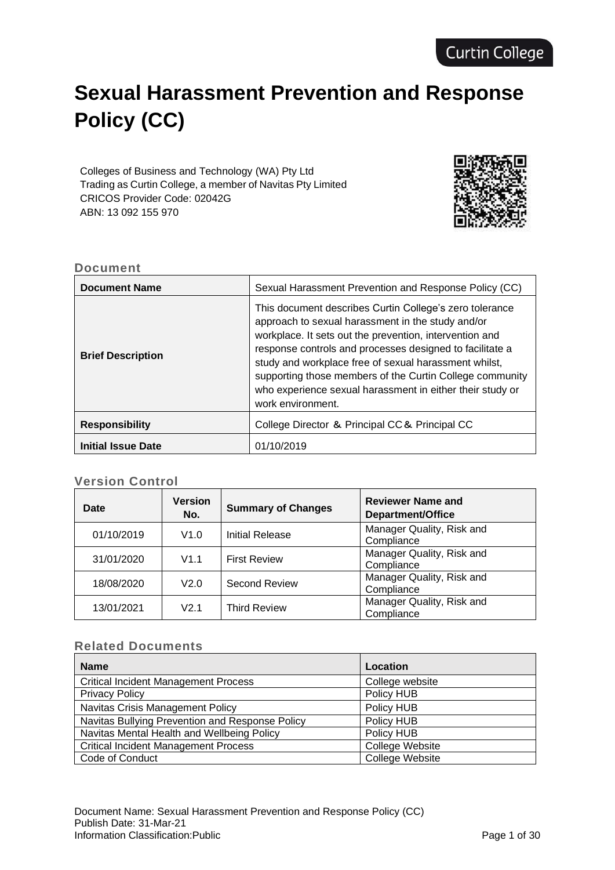# **Sexual Harassment Prevention and Response Policy (CC)**

Colleges of Business and Technology (WA) Pty Ltd Trading as Curtin College, a member of Navitas Pty Limited CRICOS Provider Code: 02042G ABN: 13 092 155 970



## **Document**

| <b>Document Name</b>      | Sexual Harassment Prevention and Response Policy (CC)                                                                                                                                                                                                                                                                                                                                                                                      |
|---------------------------|--------------------------------------------------------------------------------------------------------------------------------------------------------------------------------------------------------------------------------------------------------------------------------------------------------------------------------------------------------------------------------------------------------------------------------------------|
| <b>Brief Description</b>  | This document describes Curtin College's zero tolerance<br>approach to sexual harassment in the study and/or<br>workplace. It sets out the prevention, intervention and<br>response controls and processes designed to facilitate a<br>study and workplace free of sexual harassment whilst,<br>supporting those members of the Curtin College community<br>who experience sexual harassment in either their study or<br>work environment. |
| <b>Responsibility</b>     | College Director & Principal CC& Principal CC                                                                                                                                                                                                                                                                                                                                                                                              |
| <b>Initial Issue Date</b> | 01/10/2019                                                                                                                                                                                                                                                                                                                                                                                                                                 |

## **Version Control**

| <b>Date</b> | <b>Version</b><br>No. | <b>Summary of Changes</b> | <b>Reviewer Name and</b><br>Department/Office |
|-------------|-----------------------|---------------------------|-----------------------------------------------|
| 01/10/2019  | V1.0                  | <b>Initial Release</b>    | Manager Quality, Risk and<br>Compliance       |
| 31/01/2020  | V1.1                  | <b>First Review</b>       | Manager Quality, Risk and<br>Compliance       |
| 18/08/2020  | V2.0                  | <b>Second Review</b>      | Manager Quality, Risk and<br>Compliance       |
| 13/01/2021  | V <sub>2</sub> 1      | <b>Third Review</b>       | Manager Quality, Risk and<br>Compliance       |

## **Related Documents**

| <b>Name</b>                                     | Location               |
|-------------------------------------------------|------------------------|
| <b>Critical Incident Management Process</b>     | College website        |
| <b>Privacy Policy</b>                           | Policy HUB             |
| <b>Navitas Crisis Management Policy</b>         | Policy HUB             |
| Navitas Bullying Prevention and Response Policy | Policy HUB             |
| Navitas Mental Health and Wellbeing Policy      | Policy HUB             |
| <b>Critical Incident Management Process</b>     | <b>College Website</b> |
| Code of Conduct                                 | <b>College Website</b> |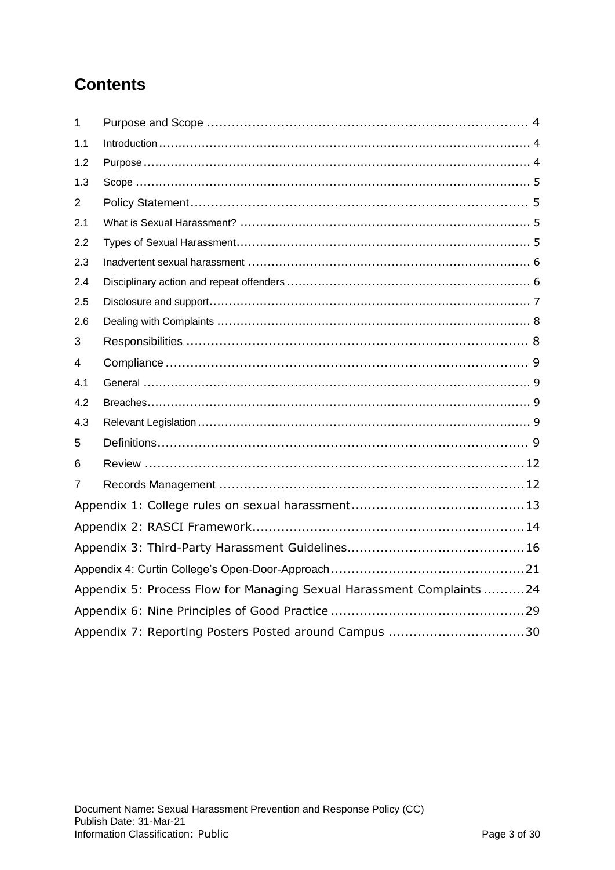## **Contents**

| 1              |                                                                       |
|----------------|-----------------------------------------------------------------------|
| 1.1            |                                                                       |
| 1.2            |                                                                       |
| 1.3            |                                                                       |
| $\overline{2}$ |                                                                       |
| 2.1            |                                                                       |
| 2.2            |                                                                       |
| 2.3            |                                                                       |
| 2.4            |                                                                       |
| 2.5            |                                                                       |
| 2.6            |                                                                       |
| 3              |                                                                       |
| 4              |                                                                       |
| 4.1            |                                                                       |
| 4.2            |                                                                       |
| 4.3            |                                                                       |
| 5              |                                                                       |
| 6              |                                                                       |
| 7              |                                                                       |
|                |                                                                       |
|                |                                                                       |
|                |                                                                       |
|                |                                                                       |
|                | Appendix 5: Process Flow for Managing Sexual Harassment Complaints 24 |
|                |                                                                       |
|                | Appendix 7: Reporting Posters Posted around Campus 30                 |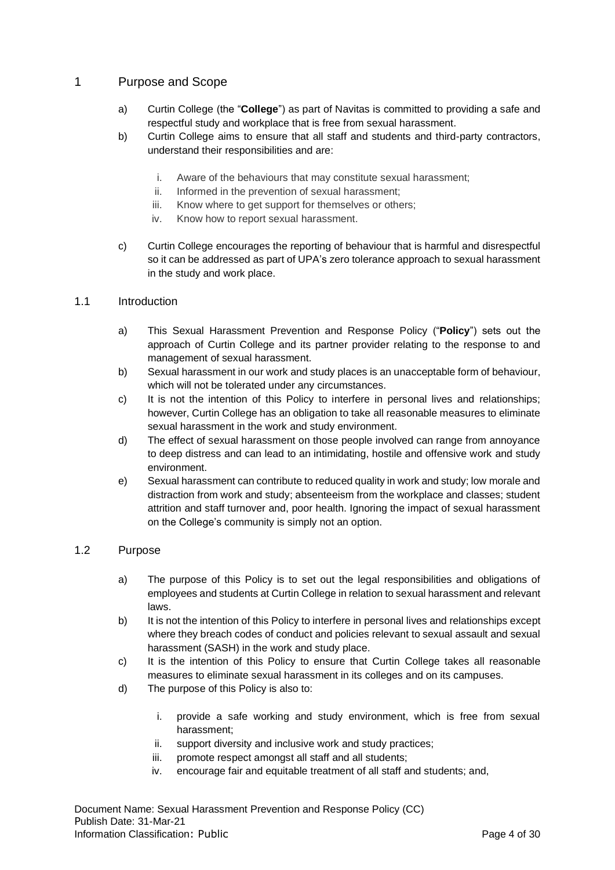## <span id="page-3-0"></span>1 Purpose and Scope

- a) Curtin College (the "**College**") as part of Navitas is committed to providing a safe and respectful study and workplace that is free from sexual harassment.
- b) Curtin College aims to ensure that all staff and students and third-party contractors, understand their responsibilities and are:
	- i. Aware of the behaviours that may constitute sexual harassment;
	- ii. Informed in the prevention of sexual harassment;
	- iii. Know where to get support for themselves or others;
	- iv. Know how to report sexual harassment.
- c) Curtin College encourages the reporting of behaviour that is harmful and disrespectful so it can be addressed as part of UPA's zero tolerance approach to sexual harassment in the study and work place.

#### <span id="page-3-1"></span>1.1 Introduction

- a) This Sexual Harassment Prevention and Response Policy ("**Policy**") sets out the approach of Curtin College and its partner provider relating to the response to and management of sexual harassment.
- b) Sexual harassment in our work and study places is an unacceptable form of behaviour, which will not be tolerated under any circumstances.
- c) It is not the intention of this Policy to interfere in personal lives and relationships; however, Curtin College has an obligation to take all reasonable measures to eliminate sexual harassment in the work and study environment.
- d) The effect of sexual harassment on those people involved can range from annoyance to deep distress and can lead to an intimidating, hostile and offensive work and study environment.
- e) Sexual harassment can contribute to reduced quality in work and study; low morale and distraction from work and study; absenteeism from the workplace and classes; student attrition and staff turnover and, poor health. Ignoring the impact of sexual harassment on the College's community is simply not an option.

## <span id="page-3-2"></span>1.2 Purpose

- a) The purpose of this Policy is to set out the legal responsibilities and obligations of employees and students at Curtin College in relation to sexual harassment and relevant laws.
- b) It is not the intention of this Policy to interfere in personal lives and relationships except where they breach codes of conduct and policies relevant to sexual assault and sexual harassment (SASH) in the work and study place.
- c) It is the intention of this Policy to ensure that Curtin College takes all reasonable measures to eliminate sexual harassment in its colleges and on its campuses.
- d) The purpose of this Policy is also to:
	- i. provide a safe working and study environment, which is free from sexual harassment;
	- ii. support diversity and inclusive work and study practices;
	- iii. promote respect amongst all staff and all students;
	- iv. encourage fair and equitable treatment of all staff and students; and,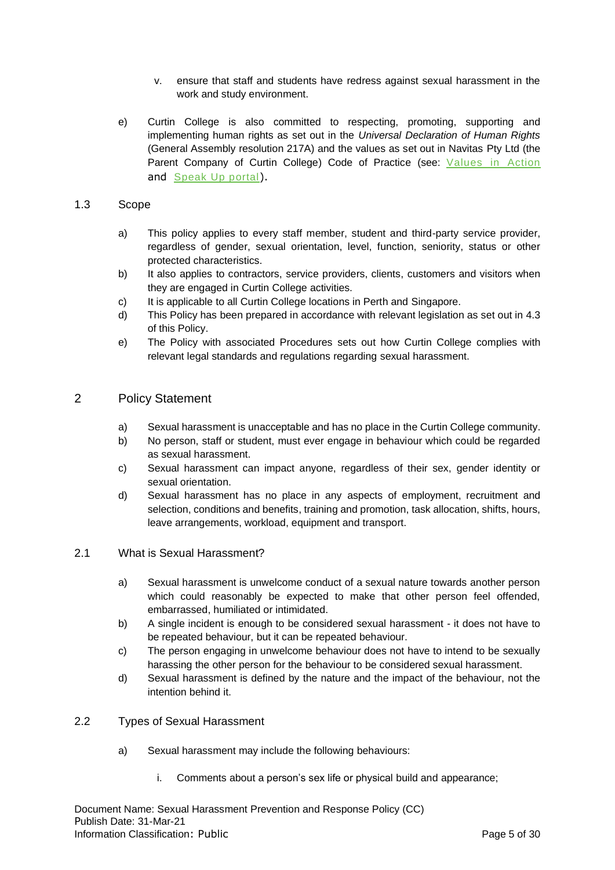- v. ensure that staff and students have redress against sexual harassment in the work and study environment.
- e) Curtin College is also committed to respecting, promoting, supporting and implementing human rights as set out in the *Universal Declaration of Human Rights* (General Assembly resolution 217A) and the values as set out in Navitas Pty Ltd (the Parent Company of Curtin College) Code of Practice (see: [Values](https://d606ececba85bd562324-75033b855bb9559d9e33014a11643e62.ssl.cf1.rackcdn.com/values-in-action-updated.pdf) in Action and [Speak](https://navitas.whispli.com/Navitas-Anonymous-Reporting) Up portal).

#### <span id="page-4-0"></span>1.3 Scope

- a) This policy applies to every staff member, student and third-party service provider, regardless of gender, sexual orientation, level, function, seniority, status or other protected characteristics.
- b) It also applies to contractors, service providers, clients, customers and visitors when they are engaged in Curtin College activities.
- c) It is applicable to all Curtin College locations in Perth and Singapore.
- d) This Policy has been prepared in accordance with relevant legislation as set out in 4.3 of this Policy.
- e) The Policy with associated Procedures sets out how Curtin College complies with relevant legal standards and regulations regarding sexual harassment.

## <span id="page-4-1"></span>2 Policy Statement

- a) Sexual harassment is unacceptable and has no place in the Curtin College community.
- b) No person, staff or student, must ever engage in behaviour which could be regarded as sexual harassment.
- c) Sexual harassment can impact anyone, regardless of their sex, gender identity or sexual orientation.
- d) Sexual harassment has no place in any aspects of employment, recruitment and selection, conditions and benefits, training and promotion, task allocation, shifts, hours, leave arrangements, workload, equipment and transport.

#### <span id="page-4-2"></span>2.1 What is Sexual Harassment?

- a) Sexual harassment is unwelcome conduct of a sexual nature towards another person which could reasonably be expected to make that other person feel offended, embarrassed, humiliated or intimidated.
- b) A single incident is enough to be considered sexual harassment it does not have to be repeated behaviour, but it can be repeated behaviour.
- c) The person engaging in unwelcome behaviour does not have to intend to be sexually harassing the other person for the behaviour to be considered sexual harassment.
- d) Sexual harassment is defined by the nature and the impact of the behaviour, not the intention behind it.

#### <span id="page-4-3"></span>2.2 Types of Sexual Harassment

- a) Sexual harassment may include the following behaviours:
	- i. Comments about a person's sex life or physical build and appearance;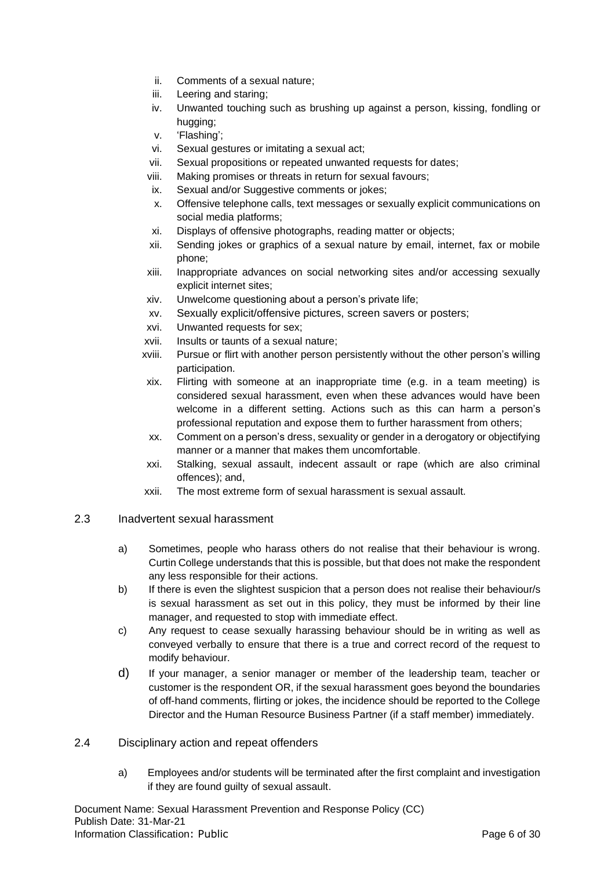- ii. Comments of a sexual nature;
- iii. Leering and staring;
- iv. Unwanted touching such as brushing up against a person, kissing, fondling or hugging;
- v. 'Flashing';
- vi. Sexual gestures or imitating a sexual act;
- vii. Sexual propositions or repeated unwanted requests for dates;
- viii. Making promises or threats in return for sexual favours;
- ix. Sexual and/or Suggestive comments or jokes;
- x. Offensive telephone calls, text messages or sexually explicit communications on social media platforms;
- xi. Displays of offensive photographs, reading matter or objects;
- xii. Sending jokes or graphics of a sexual nature by email, internet, fax or mobile phone;
- xiii. Inappropriate advances on social networking sites and/or accessing sexually explicit internet sites;
- xiv. Unwelcome questioning about a person's private life;
- xv. Sexually explicit/offensive pictures, screen savers or posters;
- xvi. Unwanted requests for sex;
- xvii. Insults or taunts of a sexual nature;
- xviii. Pursue or flirt with another person persistently without the other person's willing participation.
- xix. Flirting with someone at an inappropriate time (e.g. in a team meeting) is considered sexual harassment, even when these advances would have been welcome in a different setting. Actions such as this can harm a person's professional reputation and expose them to further harassment from others;
- xx. Comment on a person's dress, sexuality or gender in a derogatory or objectifying manner or a manner that makes them uncomfortable.
- xxi. Stalking, sexual assault, indecent assault or rape (which are also criminal offences); and,
- xxii. The most extreme form of sexual harassment is sexual assault.
- <span id="page-5-0"></span>2.3 Inadvertent sexual harassment
	- a) Sometimes, people who harass others do not realise that their behaviour is wrong. Curtin College understands that this is possible, but that does not make the respondent any less responsible for their actions.
	- b) If there is even the slightest suspicion that a person does not realise their behaviour/s is sexual harassment as set out in this policy, they must be informed by their line manager, and requested to stop with immediate effect.
	- c) Any request to cease sexually harassing behaviour should be in writing as well as conveyed verbally to ensure that there is a true and correct record of the request to modify behaviour.
	- d) If your manager, a senior manager or member of the leadership team, teacher or customer is the respondent OR, if the sexual harassment goes beyond the boundaries of off-hand comments, flirting or jokes, the incidence should be reported to the College Director and the Human Resource Business Partner (if a staff member) immediately.

#### <span id="page-5-1"></span>2.4 Disciplinary action and repeat offenders

a) Employees and/or students will be terminated after the first complaint and investigation if they are found guilty of sexual assault.

Document Name: Sexual Harassment Prevention and Response Policy (CC) Publish Date: 31-Mar-21 Information Classification: Public **Page 6 of 30** Page 6 of 30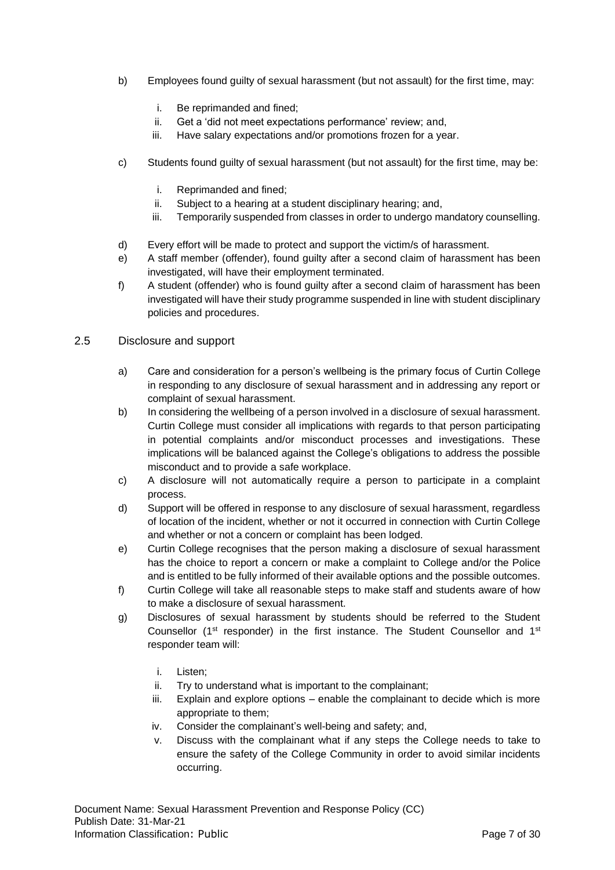- b) Employees found guilty of sexual harassment (but not assault) for the first time, may:
	- i. Be reprimanded and fined;
	- ii. Get a 'did not meet expectations performance' review; and,
	- iii. Have salary expectations and/or promotions frozen for a year.
- c) Students found guilty of sexual harassment (but not assault) for the first time, may be:
	- i. Reprimanded and fined;
	- ii. Subject to a hearing at a student disciplinary hearing; and,
	- iii. Temporarily suspended from classes in order to undergo mandatory counselling.
- d) Every effort will be made to protect and support the victim/s of harassment.
- e) A staff member (offender), found guilty after a second claim of harassment has been investigated, will have their employment terminated.
- f) A student (offender) who is found guilty after a second claim of harassment has been investigated will have their study programme suspended in line with student disciplinary policies and procedures.

#### <span id="page-6-0"></span>2.5 Disclosure and support

- a) Care and consideration for a person's wellbeing is the primary focus of Curtin College in responding to any disclosure of sexual harassment and in addressing any report or complaint of sexual harassment.
- b) In considering the wellbeing of a person involved in a disclosure of sexual harassment. Curtin College must consider all implications with regards to that person participating in potential complaints and/or misconduct processes and investigations. These implications will be balanced against the College's obligations to address the possible misconduct and to provide a safe workplace.
- c) A disclosure will not automatically require a person to participate in a complaint process.
- d) Support will be offered in response to any disclosure of sexual harassment, regardless of location of the incident, whether or not it occurred in connection with Curtin College and whether or not a concern or complaint has been lodged.
- e) Curtin College recognises that the person making a disclosure of sexual harassment has the choice to report a concern or make a complaint to College and/or the Police and is entitled to be fully informed of their available options and the possible outcomes.
- f) Curtin College will take all reasonable steps to make staff and students aware of how to make a disclosure of sexual harassment.
- g) Disclosures of sexual harassment by students should be referred to the Student Counsellor (1<sup>st</sup> responder) in the first instance. The Student Counsellor and  $1<sup>st</sup>$ responder team will:
	- i. Listen;
	- ii. Try to understand what is important to the complainant;
	- iii. Explain and explore options enable the complainant to decide which is more appropriate to them;
	- iv. Consider the complainant's well-being and safety; and,
	- v. Discuss with the complainant what if any steps the College needs to take to ensure the safety of the College Community in order to avoid similar incidents occurring.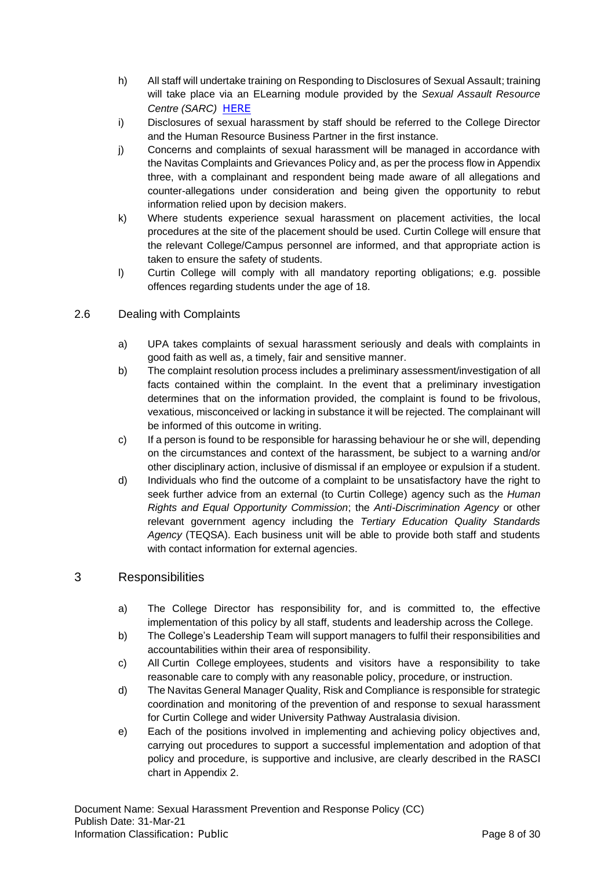- h) All staff will undertake training on Responding to Disclosures of Sexual Assault; training will take place via an ELearning module provided by the *Sexual Assault Resource Centre (SARC)* [HERE](https://www.kemh.health.wa.gov.au/our-services/service-directory/sarc)
- i) Disclosures of sexual harassment by staff should be referred to the College Director and the Human Resource Business Partner in the first instance.
- j) Concerns and complaints of sexual harassment will be managed in accordance with the Navitas Complaints and Grievances Policy and, as per the process flow in Appendix three, with a complainant and respondent being made aware of all allegations and counter-allegations under consideration and being given the opportunity to rebut information relied upon by decision makers.
- k) Where students experience sexual harassment on placement activities, the local procedures at the site of the placement should be used. Curtin College will ensure that the relevant College/Campus personnel are informed, and that appropriate action is taken to ensure the safety of students.
- l) Curtin College will comply with all mandatory reporting obligations; e.g. possible offences regarding students under the age of 18.

## <span id="page-7-0"></span>2.6 Dealing with Complaints

- a) UPA takes complaints of sexual harassment seriously and deals with complaints in good faith as well as, a timely, fair and sensitive manner.
- b) The complaint resolution process includes a preliminary assessment/investigation of all facts contained within the complaint. In the event that a preliminary investigation determines that on the information provided, the complaint is found to be frivolous, vexatious, misconceived or lacking in substance it will be rejected. The complainant will be informed of this outcome in writing.
- c) If a person is found to be responsible for harassing behaviour he or she will, depending on the circumstances and context of the harassment, be subject to a warning and/or other disciplinary action, inclusive of dismissal if an employee or expulsion if a student.
- d) Individuals who find the outcome of a complaint to be unsatisfactory have the right to seek further advice from an external (to Curtin College) agency such as the *Human Rights and Equal Opportunity Commission*; the *Anti-Discrimination Agency* or other relevant government agency including the *Tertiary Education Quality Standards Agency* (TEQSA). Each business unit will be able to provide both staff and students with contact information for external agencies.

## <span id="page-7-1"></span>3 Responsibilities

- a) The College Director has responsibility for, and is committed to, the effective implementation of this policy by all staff, students and leadership across the College.
- b) The College's Leadership Team will support managers to fulfil their responsibilities and accountabilities within their area of responsibility.
- c) All Curtin College employees, students and visitors have a responsibility to take reasonable care to comply with any reasonable policy, procedure, or instruction.
- d) The Navitas General Manager Quality, Risk and Compliance is responsible for strategic coordination and monitoring of the prevention of and response to sexual harassment for Curtin College and wider University Pathway Australasia division.
- e) Each of the positions involved in implementing and achieving policy objectives and, carrying out procedures to support a successful implementation and adoption of that policy and procedure, is supportive and inclusive, are clearly described in the RASCI chart in Appendix 2.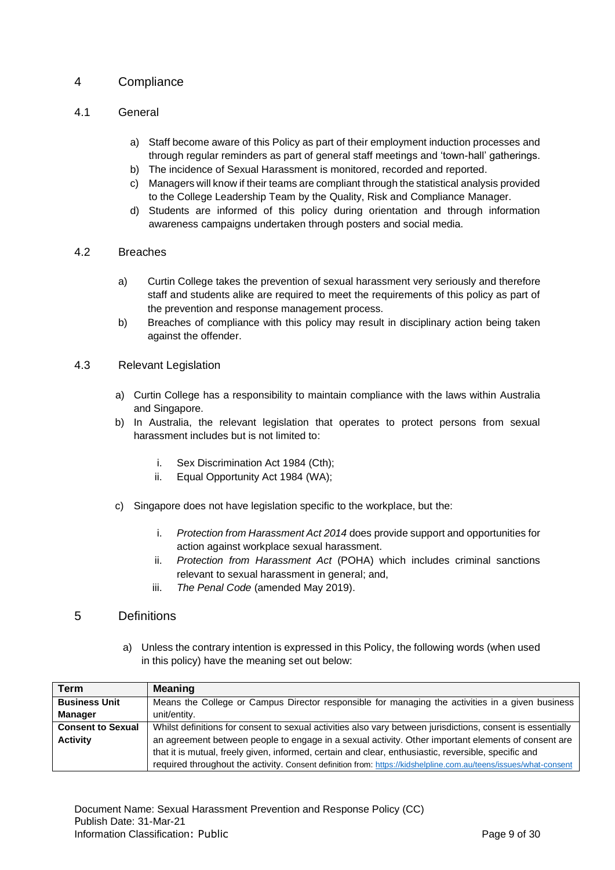## <span id="page-8-0"></span>4 Compliance

## <span id="page-8-1"></span>4.1 General

- a) Staff become aware of this Policy as part of their employment induction processes and through regular reminders as part of general staff meetings and 'town-hall' gatherings.
- b) The incidence of Sexual Harassment is monitored, recorded and reported.
- c) Managers will know if their teams are compliant through the statistical analysis provided to the College Leadership Team by the Quality, Risk and Compliance Manager.
- d) Students are informed of this policy during orientation and through information awareness campaigns undertaken through posters and social media.

#### <span id="page-8-2"></span>4.2 Breaches

- a) Curtin College takes the prevention of sexual harassment very seriously and therefore staff and students alike are required to meet the requirements of this policy as part of the prevention and response management process.
- b) Breaches of compliance with this policy may result in disciplinary action being taken against the offender.

#### <span id="page-8-3"></span>4.3 Relevant Legislation

- a) Curtin College has a responsibility to maintain compliance with the laws within Australia and Singapore.
- b) In Australia, the relevant legislation that operates to protect persons from sexual harassment includes but is not limited to:
	- i. Sex Discrimination Act 1984 (Cth);
	- ii. Equal Opportunity Act 1984 (WA);
- c) Singapore does not have legislation specific to the workplace, but the:
	- i. *Protection from Harassment Act 2014* does provide support and opportunities for action against workplace sexual harassment.
	- ii. *Protection from Harassment Act* (POHA) which includes criminal sanctions relevant to sexual harassment in general; and,
	- iii. *The Penal Code* (amended May 2019).

## <span id="page-8-4"></span>5 Definitions

a) Unless the contrary intention is expressed in this Policy, the following words (when used in this policy) have the meaning set out below:

| Term                     | <b>Meaning</b>                                                                                                   |
|--------------------------|------------------------------------------------------------------------------------------------------------------|
| <b>Business Unit</b>     | Means the College or Campus Director responsible for managing the activities in a given business                 |
| <b>Manager</b>           | unit/entity.                                                                                                     |
| <b>Consent to Sexual</b> | Whilst definitions for consent to sexual activities also vary between jurisdictions, consent is essentially      |
| <b>Activity</b>          | an agreement between people to engage in a sexual activity. Other important elements of consent are              |
|                          | that it is mutual, freely given, informed, certain and clear, enthusiastic, reversible, specific and             |
|                          | required throughout the activity. Consent definition from: https://kidshelpline.com.au/teens/issues/what-consent |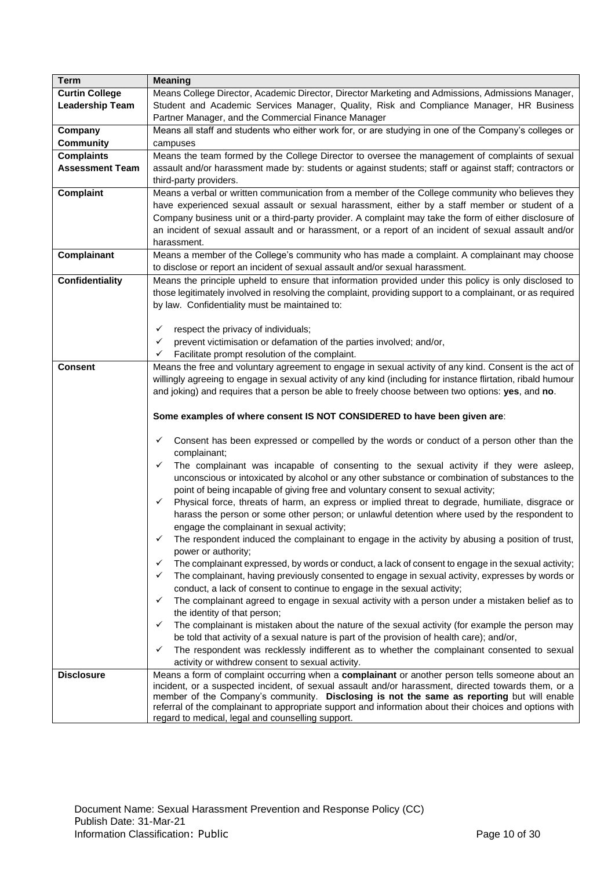| <b>Term</b>            | <b>Meaning</b>                                                                                                                                                                                    |  |  |  |  |  |  |
|------------------------|---------------------------------------------------------------------------------------------------------------------------------------------------------------------------------------------------|--|--|--|--|--|--|
| <b>Curtin College</b>  | Means College Director, Academic Director, Director Marketing and Admissions, Admissions Manager,                                                                                                 |  |  |  |  |  |  |
| <b>Leadership Team</b> | Student and Academic Services Manager, Quality, Risk and Compliance Manager, HR Business                                                                                                          |  |  |  |  |  |  |
|                        | Partner Manager, and the Commercial Finance Manager                                                                                                                                               |  |  |  |  |  |  |
| Company                | Means all staff and students who either work for, or are studying in one of the Company's colleges or                                                                                             |  |  |  |  |  |  |
| <b>Community</b>       | campuses                                                                                                                                                                                          |  |  |  |  |  |  |
| <b>Complaints</b>      | Means the team formed by the College Director to oversee the management of complaints of sexual                                                                                                   |  |  |  |  |  |  |
| <b>Assessment Team</b> | assault and/or harassment made by: students or against students; staff or against staff; contractors or                                                                                           |  |  |  |  |  |  |
|                        | third-party providers.                                                                                                                                                                            |  |  |  |  |  |  |
| <b>Complaint</b>       | Means a verbal or written communication from a member of the College community who believes they                                                                                                  |  |  |  |  |  |  |
|                        | have experienced sexual assault or sexual harassment, either by a staff member or student of a                                                                                                    |  |  |  |  |  |  |
|                        | Company business unit or a third-party provider. A complaint may take the form of either disclosure of                                                                                            |  |  |  |  |  |  |
|                        | an incident of sexual assault and or harassment, or a report of an incident of sexual assault and/or                                                                                              |  |  |  |  |  |  |
|                        | harassment.                                                                                                                                                                                       |  |  |  |  |  |  |
| Complainant            | Means a member of the College's community who has made a complaint. A complainant may choose                                                                                                      |  |  |  |  |  |  |
|                        | to disclose or report an incident of sexual assault and/or sexual harassment.                                                                                                                     |  |  |  |  |  |  |
| <b>Confidentiality</b> | Means the principle upheld to ensure that information provided under this policy is only disclosed to                                                                                             |  |  |  |  |  |  |
|                        | those legitimately involved in resolving the complaint, providing support to a complainant, or as required                                                                                        |  |  |  |  |  |  |
|                        | by law. Confidentiality must be maintained to:                                                                                                                                                    |  |  |  |  |  |  |
|                        |                                                                                                                                                                                                   |  |  |  |  |  |  |
|                        | respect the privacy of individuals;<br>✓                                                                                                                                                          |  |  |  |  |  |  |
|                        | prevent victimisation or defamation of the parties involved; and/or,<br>✓                                                                                                                         |  |  |  |  |  |  |
|                        | Facilitate prompt resolution of the complaint.<br>✓                                                                                                                                               |  |  |  |  |  |  |
| <b>Consent</b>         | Means the free and voluntary agreement to engage in sexual activity of any kind. Consent is the act of                                                                                            |  |  |  |  |  |  |
|                        | willingly agreeing to engage in sexual activity of any kind (including for instance flirtation, ribald humour                                                                                     |  |  |  |  |  |  |
|                        | and joking) and requires that a person be able to freely choose between two options: yes, and no.                                                                                                 |  |  |  |  |  |  |
|                        |                                                                                                                                                                                                   |  |  |  |  |  |  |
|                        | Some examples of where consent IS NOT CONSIDERED to have been given are:                                                                                                                          |  |  |  |  |  |  |
|                        |                                                                                                                                                                                                   |  |  |  |  |  |  |
|                        | Consent has been expressed or compelled by the words or conduct of a person other than the<br>✓                                                                                                   |  |  |  |  |  |  |
|                        | complainant;                                                                                                                                                                                      |  |  |  |  |  |  |
|                        | The complainant was incapable of consenting to the sexual activity if they were asleep,<br>✓                                                                                                      |  |  |  |  |  |  |
|                        | unconscious or intoxicated by alcohol or any other substance or combination of substances to the                                                                                                  |  |  |  |  |  |  |
|                        | point of being incapable of giving free and voluntary consent to sexual activity;                                                                                                                 |  |  |  |  |  |  |
|                        | Physical force, threats of harm, an express or implied threat to degrade, humiliate, disgrace or<br>✓                                                                                             |  |  |  |  |  |  |
|                        | harass the person or some other person; or unlawful detention where used by the respondent to                                                                                                     |  |  |  |  |  |  |
|                        | engage the complainant in sexual activity;                                                                                                                                                        |  |  |  |  |  |  |
|                        | The respondent induced the complainant to engage in the activity by abusing a position of trust,                                                                                                  |  |  |  |  |  |  |
|                        | power or authority;                                                                                                                                                                               |  |  |  |  |  |  |
|                        | The complainant expressed, by words or conduct, a lack of consent to engage in the sexual activity;<br>✓                                                                                          |  |  |  |  |  |  |
|                        | The complainant, having previously consented to engage in sexual activity, expresses by words or<br>✓                                                                                             |  |  |  |  |  |  |
|                        | conduct, a lack of consent to continue to engage in the sexual activity;                                                                                                                          |  |  |  |  |  |  |
|                        | The complainant agreed to engage in sexual activity with a person under a mistaken belief as to<br>✓                                                                                              |  |  |  |  |  |  |
|                        | the identity of that person;                                                                                                                                                                      |  |  |  |  |  |  |
|                        | The complainant is mistaken about the nature of the sexual activity (for example the person may<br>✓                                                                                              |  |  |  |  |  |  |
|                        | be told that activity of a sexual nature is part of the provision of health care); and/or,                                                                                                        |  |  |  |  |  |  |
|                        | The respondent was recklessly indifferent as to whether the complainant consented to sexual<br>$\checkmark$                                                                                       |  |  |  |  |  |  |
|                        | activity or withdrew consent to sexual activity.                                                                                                                                                  |  |  |  |  |  |  |
| <b>Disclosure</b>      | Means a form of complaint occurring when a complainant or another person tells someone about an                                                                                                   |  |  |  |  |  |  |
|                        | incident, or a suspected incident, of sexual assault and/or harassment, directed towards them, or a<br>member of the Company's community. Disclosing is not the same as reporting but will enable |  |  |  |  |  |  |
|                        | referral of the complainant to appropriate support and information about their choices and options with                                                                                           |  |  |  |  |  |  |
|                        | regard to medical, legal and counselling support.                                                                                                                                                 |  |  |  |  |  |  |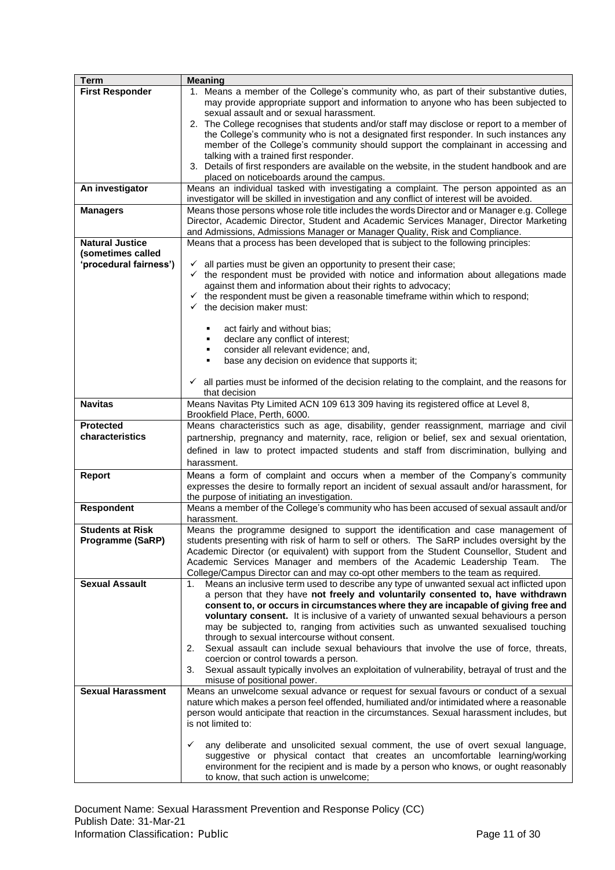| <b>Term</b>              | <b>Meaning</b>                                                                                                                                                                     |
|--------------------------|------------------------------------------------------------------------------------------------------------------------------------------------------------------------------------|
| <b>First Responder</b>   | 1. Means a member of the College's community who, as part of their substantive duties,                                                                                             |
|                          | may provide appropriate support and information to anyone who has been subjected to                                                                                                |
|                          | sexual assault and or sexual harassment.                                                                                                                                           |
|                          | 2. The College recognises that students and/or staff may disclose or report to a member of                                                                                         |
|                          | the College's community who is not a designated first responder. In such instances any                                                                                             |
|                          | member of the College's community should support the complainant in accessing and                                                                                                  |
|                          | talking with a trained first responder.                                                                                                                                            |
|                          | 3. Details of first responders are available on the website, in the student handbook and are<br>placed on noticeboards around the campus.                                          |
| An investigator          | Means an individual tasked with investigating a complaint. The person appointed as an                                                                                              |
|                          | investigator will be skilled in investigation and any conflict of interest will be avoided.                                                                                        |
| <b>Managers</b>          | Means those persons whose role title includes the words Director and or Manager e.g. College                                                                                       |
|                          | Director, Academic Director, Student and Academic Services Manager, Director Marketing                                                                                             |
|                          | and Admissions, Admissions Manager or Manager Quality, Risk and Compliance.                                                                                                        |
| <b>Natural Justice</b>   | Means that a process has been developed that is subject to the following principles:                                                                                               |
| (sometimes called        |                                                                                                                                                                                    |
| 'procedural fairness')   | all parties must be given an opportunity to present their case;<br>✓                                                                                                               |
|                          | $\checkmark$ the respondent must be provided with notice and information about allegations made                                                                                    |
|                          | against them and information about their rights to advocacy;                                                                                                                       |
|                          | the respondent must be given a reasonable timeframe within which to respond;<br>$\checkmark$                                                                                       |
|                          | the decision maker must:                                                                                                                                                           |
|                          |                                                                                                                                                                                    |
|                          | act fairly and without bias;                                                                                                                                                       |
|                          | declare any conflict of interest;<br>٠<br>consider all relevant evidence; and,<br>٠                                                                                                |
|                          | base any decision on evidence that supports it;<br>٠                                                                                                                               |
|                          |                                                                                                                                                                                    |
|                          | all parties must be informed of the decision relating to the complaint, and the reasons for<br>✓                                                                                   |
|                          | that decision                                                                                                                                                                      |
| <b>Navitas</b>           | Means Navitas Pty Limited ACN 109 613 309 having its registered office at Level 8,                                                                                                 |
|                          | Brookfield Place, Perth, 6000.                                                                                                                                                     |
| <b>Protected</b>         | Means characteristics such as age, disability, gender reassignment, marriage and civil                                                                                             |
| characteristics          | partnership, pregnancy and maternity, race, religion or belief, sex and sexual orientation,                                                                                        |
|                          | defined in law to protect impacted students and staff from discrimination, bullying and                                                                                            |
|                          | harassment.                                                                                                                                                                        |
| <b>Report</b>            | Means a form of complaint and occurs when a member of the Company's community                                                                                                      |
|                          | expresses the desire to formally report an incident of sexual assault and/or harassment, for                                                                                       |
|                          | the purpose of initiating an investigation.                                                                                                                                        |
| <b>Respondent</b>        | Means a member of the College's community who has been accused of sexual assault and/or                                                                                            |
|                          | harassment.                                                                                                                                                                        |
| <b>Students at Risk</b>  | Means the programme designed to support the identification and case management of                                                                                                  |
| Programme (SaRP)         | students presenting with risk of harm to self or others. The SaRP includes oversight by the                                                                                        |
|                          | Academic Director (or equivalent) with support from the Student Counsellor, Student and                                                                                            |
|                          | Academic Services Manager and members of the Academic Leadership Team.<br><b>The</b>                                                                                               |
| <b>Sexual Assault</b>    | College/Campus Director can and may co-opt other members to the team as required.<br>Means an inclusive term used to describe any type of unwanted sexual act inflicted upon<br>1. |
|                          | a person that they have not freely and voluntarily consented to, have withdrawn                                                                                                    |
|                          | consent to, or occurs in circumstances where they are incapable of giving free and                                                                                                 |
|                          | voluntary consent. It is inclusive of a variety of unwanted sexual behaviours a person                                                                                             |
|                          | may be subjected to, ranging from activities such as unwanted sexualised touching                                                                                                  |
|                          | through to sexual intercourse without consent.                                                                                                                                     |
|                          | Sexual assault can include sexual behaviours that involve the use of force, threats,<br>2.                                                                                         |
|                          | coercion or control towards a person.                                                                                                                                              |
|                          | Sexual assault typically involves an exploitation of vulnerability, betrayal of trust and the<br>3.                                                                                |
|                          | misuse of positional power.                                                                                                                                                        |
| <b>Sexual Harassment</b> | Means an unwelcome sexual advance or request for sexual favours or conduct of a sexual                                                                                             |
|                          | nature which makes a person feel offended, humiliated and/or intimidated where a reasonable                                                                                        |
|                          | person would anticipate that reaction in the circumstances. Sexual harassment includes, but                                                                                        |
|                          | is not limited to:                                                                                                                                                                 |
|                          | any deliberate and unsolicited sexual comment, the use of overt sexual language,<br>✓                                                                                              |
|                          | suggestive or physical contact that creates an uncomfortable learning/working                                                                                                      |
|                          | environment for the recipient and is made by a person who knows, or ought reasonably                                                                                               |
|                          | to know, that such action is unwelcome;                                                                                                                                            |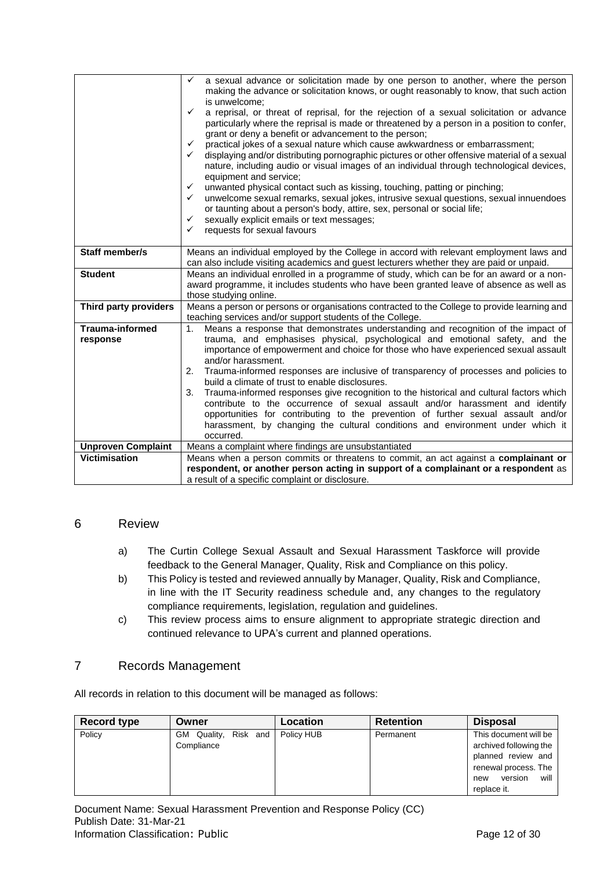|                           | a sexual advance or solicitation made by one person to another, where the person<br>✓                                                                               |
|---------------------------|---------------------------------------------------------------------------------------------------------------------------------------------------------------------|
|                           | making the advance or solicitation knows, or ought reasonably to know, that such action                                                                             |
|                           | is unwelcome;                                                                                                                                                       |
|                           | $\checkmark$<br>a reprisal, or threat of reprisal, for the rejection of a sexual solicitation or advance                                                            |
|                           | particularly where the reprisal is made or threatened by a person in a position to confer,                                                                          |
|                           | grant or deny a benefit or advancement to the person;                                                                                                               |
|                           | practical jokes of a sexual nature which cause awkwardness or embarrassment;<br>✓                                                                                   |
|                           | displaying and/or distributing pornographic pictures or other offensive material of a sexual<br>$\checkmark$                                                        |
|                           | nature, including audio or visual images of an individual through technological devices,<br>equipment and service;                                                  |
|                           | unwanted physical contact such as kissing, touching, patting or pinching;<br>$\checkmark$                                                                           |
|                           | unwelcome sexual remarks, sexual jokes, intrusive sexual questions, sexual innuendoes<br>$\checkmark$                                                               |
|                           | or taunting about a person's body, attire, sex, personal or social life;                                                                                            |
|                           | sexually explicit emails or text messages;<br>✓                                                                                                                     |
|                           | requests for sexual favours<br>$\checkmark$                                                                                                                         |
|                           |                                                                                                                                                                     |
| <b>Staff member/s</b>     | Means an individual employed by the College in accord with relevant employment laws and                                                                             |
|                           | can also include visiting academics and guest lecturers whether they are paid or unpaid.                                                                            |
| <b>Student</b>            | Means an individual enrolled in a programme of study, which can be for an award or a non-                                                                           |
|                           | award programme, it includes students who have been granted leave of absence as well as                                                                             |
| Third party providers     | those studying online.<br>Means a person or persons or organisations contracted to the College to provide learning and                                              |
|                           | teaching services and/or support students of the College.                                                                                                           |
| <b>Trauma-informed</b>    | Means a response that demonstrates understanding and recognition of the impact of<br>1.                                                                             |
| response                  | trauma, and emphasises physical, psychological and emotional safety, and the                                                                                        |
|                           | importance of empowerment and choice for those who have experienced sexual assault                                                                                  |
|                           | and/or harassment.                                                                                                                                                  |
|                           | Trauma-informed responses are inclusive of transparency of processes and policies to<br>2.                                                                          |
|                           | build a climate of trust to enable disclosures.                                                                                                                     |
|                           | Trauma-informed responses give recognition to the historical and cultural factors which<br>3.                                                                       |
|                           | contribute to the occurrence of sexual assault and/or harassment and identify                                                                                       |
|                           | opportunities for contributing to the prevention of further sexual assault and/or<br>harassment, by changing the cultural conditions and environment under which it |
|                           | occurred.                                                                                                                                                           |
| <b>Unproven Complaint</b> | Means a complaint where findings are unsubstantiated                                                                                                                |
| <b>Victimisation</b>      | Means when a person commits or threatens to commit, an act against a complainant or                                                                                 |
|                           | respondent, or another person acting in support of a complainant or a respondent as                                                                                 |
|                           | a result of a specific complaint or disclosure.                                                                                                                     |

## <span id="page-11-0"></span>6 Review

- a) The Curtin College Sexual Assault and Sexual Harassment Taskforce will provide feedback to the General Manager, Quality, Risk and Compliance on this policy.
- b) This Policy is tested and reviewed annually by Manager, Quality, Risk and Compliance, in line with the IT Security readiness schedule and, any changes to the regulatory compliance requirements, legislation, regulation and guidelines.
- c) This review process aims to ensure alignment to appropriate strategic direction and continued relevance to UPA's current and planned operations.

## <span id="page-11-1"></span>7 Records Management

All records in relation to this document will be managed as follows:

| <b>Record type</b> | Owner                              | Location   | <b>Retention</b> | <b>Disposal</b>                                                                                                                        |
|--------------------|------------------------------------|------------|------------------|----------------------------------------------------------------------------------------------------------------------------------------|
| Policy             | GM Quality, Risk and<br>Compliance | Policy HUB | Permanent        | This document will be<br>archived following the<br>planned review and<br>renewal process. The<br>will<br>version<br>new<br>replace it. |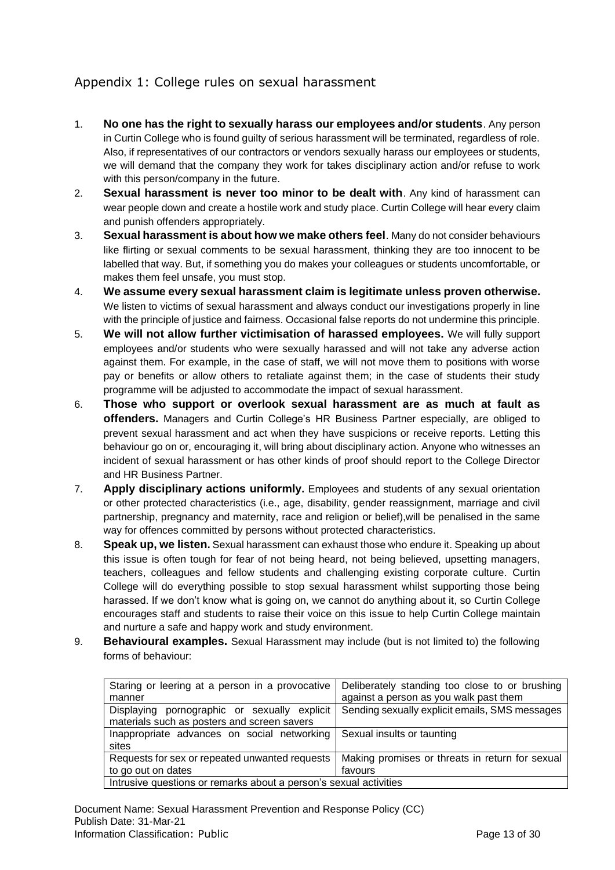## <span id="page-12-0"></span>Appendix 1: College rules on sexual harassment

- 1. **No one has the right to sexually harass our employees and/or students**. Any person in Curtin College who is found guilty of serious harassment will be terminated, regardless of role. Also, if representatives of our contractors or vendors sexually harass our employees or students, we will demand that the company they work for takes disciplinary action and/or refuse to work with this person/company in the future.
- 2. **Sexual harassment is never too minor to be dealt with**. Any kind of harassment can wear people down and create a hostile work and study place. Curtin College will hear every claim and punish offenders appropriately.
- 3. **Sexual harassment is about how we make others feel**. Many do not consider behaviours like flirting or sexual comments to be sexual harassment, thinking they are too innocent to be labelled that way. But, if something you do makes your colleagues or students uncomfortable, or makes them feel unsafe, you must stop.
- 4. **We assume every sexual harassment claim is legitimate unless proven otherwise.** We listen to victims of sexual harassment and always conduct our investigations properly in line with the principle of justice and fairness. Occasional false reports do not undermine this principle.
- 5. **We will not allow further victimisation of harassed employees.** We will fully support employees and/or students who were sexually harassed and will not take any adverse action against them. For example, in the case of staff, we will not move them to positions with worse pay or benefits or allow others to retaliate against them; in the case of students their study programme will be adjusted to accommodate the impact of sexual harassment.
- 6. **Those who support or overlook sexual harassment are as much at fault as offenders.** Managers and Curtin College's HR Business Partner especially, are obliged to prevent sexual harassment and act when they have suspicions or receive reports. Letting this behaviour go on or, encouraging it, will bring about disciplinary action. Anyone who witnesses an incident of sexual harassment or has other kinds of proof should report to the College Director and HR Business Partner.
- 7. **Apply disciplinary actions uniformly.** Employees and students of any sexual orientation or other protected characteristics (i.e., age, disability, gender reassignment, marriage and civil partnership, pregnancy and maternity, race and religion or belief),will be penalised in the same way for offences committed by persons without protected characteristics.
- 8. **Speak up, we listen.** Sexual harassment can exhaust those who endure it. Speaking up about this issue is often tough for fear of not being heard, not being believed, upsetting managers, teachers, colleagues and fellow students and challenging existing corporate culture. Curtin College will do everything possible to stop sexual harassment whilst supporting those being harassed. If we don't know what is going on, we cannot do anything about it, so Curtin College encourages staff and students to raise their voice on this issue to help Curtin College maintain and nurture a safe and happy work and study environment.
- 9. **Behavioural examples.** Sexual Harassment may include (but is not limited to) the following forms of behaviour:

| Staring or leering at a person in a provocative                   | Deliberately standing too close to or brushing  |
|-------------------------------------------------------------------|-------------------------------------------------|
| manner                                                            | against a person as you walk past them          |
| Displaying pornographic or sexually explicit                      | Sending sexually explicit emails, SMS messages  |
| materials such as posters and screen savers                       |                                                 |
| Inappropriate advances on social networking                       | Sexual insults or taunting                      |
| sites                                                             |                                                 |
| Requests for sex or repeated unwanted requests                    | Making promises or threats in return for sexual |
| to go out on dates                                                | favours                                         |
| Intrusive questions or remarks about a person's sexual activities |                                                 |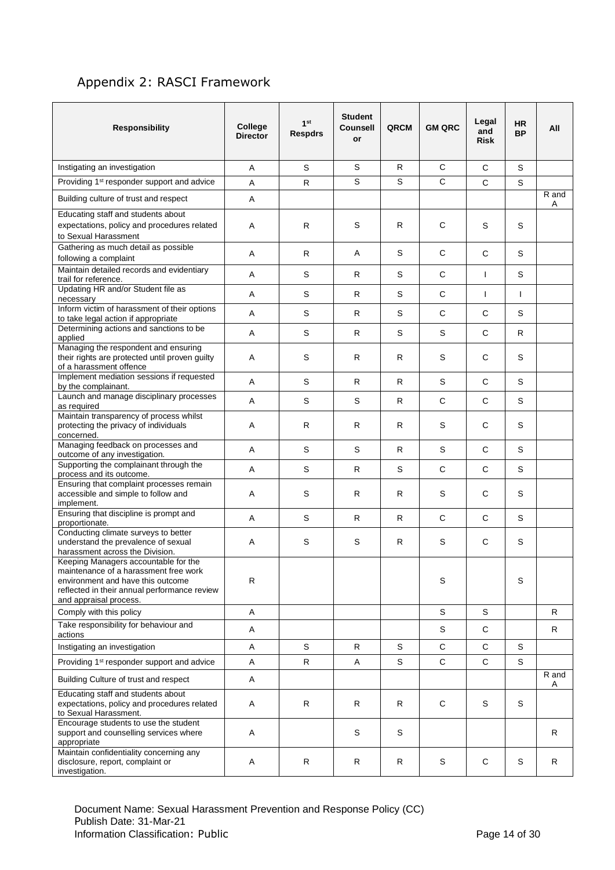## <span id="page-13-0"></span>Appendix 2: RASCI Framework

| <b>Responsibility</b>                                                                                                                                                                        | College<br><b>Director</b> | 1 <sup>st</sup><br><b>Respdrs</b> | <b>Student</b><br><b>Counsell</b><br>or | QRCM         | <b>GM QRC</b> | Legal<br>and<br><b>Risk</b> | <b>HR</b><br><b>BP</b> | All        |
|----------------------------------------------------------------------------------------------------------------------------------------------------------------------------------------------|----------------------------|-----------------------------------|-----------------------------------------|--------------|---------------|-----------------------------|------------------------|------------|
| Instigating an investigation                                                                                                                                                                 | Α                          | S                                 | S                                       | R.           | $\mathsf{C}$  | $\mathsf{C}$                | S                      |            |
| Providing 1 <sup>st</sup> responder support and advice                                                                                                                                       | Α                          | R.                                | S                                       | S            | C             | $\mathsf{C}$                | S                      |            |
| Building culture of trust and respect                                                                                                                                                        | Α                          |                                   |                                         |              |               |                             |                        | R and<br>Α |
| Educating staff and students about<br>expectations, policy and procedures related<br>to Sexual Harassment                                                                                    | Α                          | $\mathsf{R}$                      | S                                       | R            | C             | S                           | S                      |            |
| Gathering as much detail as possible<br>following a complaint                                                                                                                                | Α                          | $\mathsf{R}$                      | Α                                       | S            | C             | C                           | S                      |            |
| Maintain detailed records and evidentiary<br>trail for reference.                                                                                                                            | A                          | S                                 | R.                                      | S            | $\mathsf{C}$  | $\mathbf{I}$                | S                      |            |
| Updating HR and/or Student file as<br>necessary                                                                                                                                              | A                          | S                                 | R                                       | $\mathsf S$  | C             | -1                          | $\mathbf{I}$           |            |
| Inform victim of harassment of their options<br>to take legal action if appropriate                                                                                                          | Α                          | S                                 | R                                       | S            | C             | C                           | S                      |            |
| Determining actions and sanctions to be<br>applied                                                                                                                                           | Α                          | S                                 | R                                       | S            | S             | $\mathsf{C}$                | R.                     |            |
| Managing the respondent and ensuring<br>their rights are protected until proven guilty<br>of a harassment offence                                                                            | Α                          | S                                 | R                                       | R            | S             | C                           | S                      |            |
| Implement mediation sessions if requested<br>by the complainant.                                                                                                                             | Α                          | S                                 | R                                       | $\mathsf{R}$ | S             | $\mathsf C$                 | S                      |            |
| Launch and manage disciplinary processes<br>as required                                                                                                                                      | Α                          | S                                 | S                                       | $\mathsf{R}$ | $\mathsf C$   | $\mathsf C$                 | S                      |            |
| Maintain transparency of process whilst<br>protecting the privacy of individuals<br>concerned.                                                                                               | Α                          | $\mathsf R$                       | R                                       | $\mathsf{R}$ | S             | C                           | S                      |            |
| Managing feedback on processes and<br>outcome of any investigation.                                                                                                                          | Α                          | S                                 | S                                       | R            | S             | C                           | S                      |            |
| Supporting the complainant through the<br>process and its outcome.                                                                                                                           | Α                          | S                                 | R                                       | $\mathbb S$  | $\mathsf C$   | $\mathsf C$                 | S                      |            |
| Ensuring that complaint processes remain<br>accessible and simple to follow and<br>implement.                                                                                                | Α                          | S                                 | R                                       | $\mathsf{R}$ | S             | C                           | S                      |            |
| Ensuring that discipline is prompt and<br>proportionate.                                                                                                                                     | Α                          | S                                 | R                                       | $\mathsf{R}$ | C             | C                           | S                      |            |
| Conducting climate surveys to better<br>understand the prevalence of sexual<br>harassment across the Division.                                                                               | Α                          | S                                 | S                                       | R            | S             | C                           | $\mathsf S$            |            |
| Keeping Managers accountable for the<br>maintenance of a harassment free work<br>environment and have this outcome<br>reflected in their annual performance review<br>and appraisal process. | R                          |                                   |                                         |              | S             |                             | S                      |            |
| Comply with this policy                                                                                                                                                                      | A                          |                                   |                                         |              | S             | S                           |                        | R          |
| Take responsibility for behaviour and<br>actions                                                                                                                                             | Α                          |                                   |                                         |              | S             | C                           |                        | R          |
| Instigating an investigation                                                                                                                                                                 | Α                          | S                                 | R                                       | $\mathbb S$  | $\mathbf C$   | $\mathsf C$                 | S                      |            |
| Providing 1 <sup>st</sup> responder support and advice                                                                                                                                       | A                          | R                                 | Α                                       | S            | C             | C                           | S                      |            |
| Building Culture of trust and respect                                                                                                                                                        | Α                          |                                   |                                         |              |               |                             |                        | R and<br>A |
| Educating staff and students about<br>expectations, policy and procedures related<br>to Sexual Harassment.                                                                                   | Α                          | R                                 | R                                       | R            | C             | S                           | S                      |            |
| Encourage students to use the student<br>support and counselling services where<br>appropriate                                                                                               | Α                          |                                   | S                                       | S            |               |                             |                        | R          |
| Maintain confidentiality concerning any<br>disclosure, report, complaint or<br>investigation.                                                                                                | Α                          | $\mathsf R$                       | R                                       | R            | S             | C                           | S                      | R          |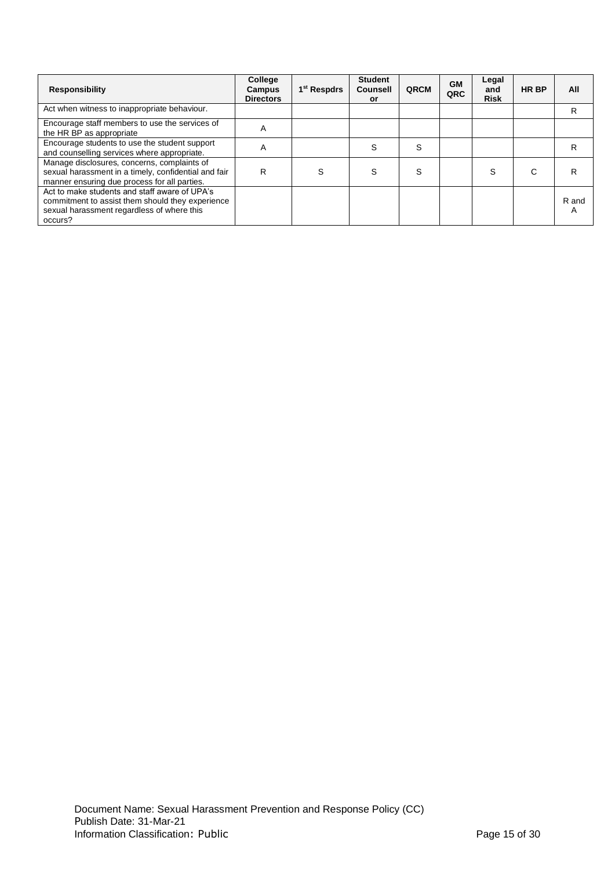| <b>Responsibility</b>                                                                                                                                      | College<br>Campus<br><b>Directors</b> | 1 <sup>st</sup> Respdrs | <b>Student</b><br><b>Counsell</b><br>or | QRCM | <b>GM</b><br>QRC | Legal<br>and<br><b>Risk</b> | <b>HR BP</b> | All        |
|------------------------------------------------------------------------------------------------------------------------------------------------------------|---------------------------------------|-------------------------|-----------------------------------------|------|------------------|-----------------------------|--------------|------------|
| Act when witness to inappropriate behaviour.                                                                                                               |                                       |                         |                                         |      |                  |                             |              | R          |
| Encourage staff members to use the services of<br>the HR BP as appropriate                                                                                 | A                                     |                         |                                         |      |                  |                             |              |            |
| Encourage students to use the student support<br>and counselling services where appropriate.                                                               | Α                                     |                         | S                                       | S    |                  |                             |              | R          |
| Manage disclosures, concerns, complaints of<br>sexual harassment in a timely, confidential and fair<br>manner ensuring due process for all parties.        | R                                     | S                       | S                                       | S    |                  | S                           | C            | R          |
| Act to make students and staff aware of UPA's<br>commitment to assist them should they experience<br>sexual harassment regardless of where this<br>occurs? |                                       |                         |                                         |      |                  |                             |              | R and<br>Α |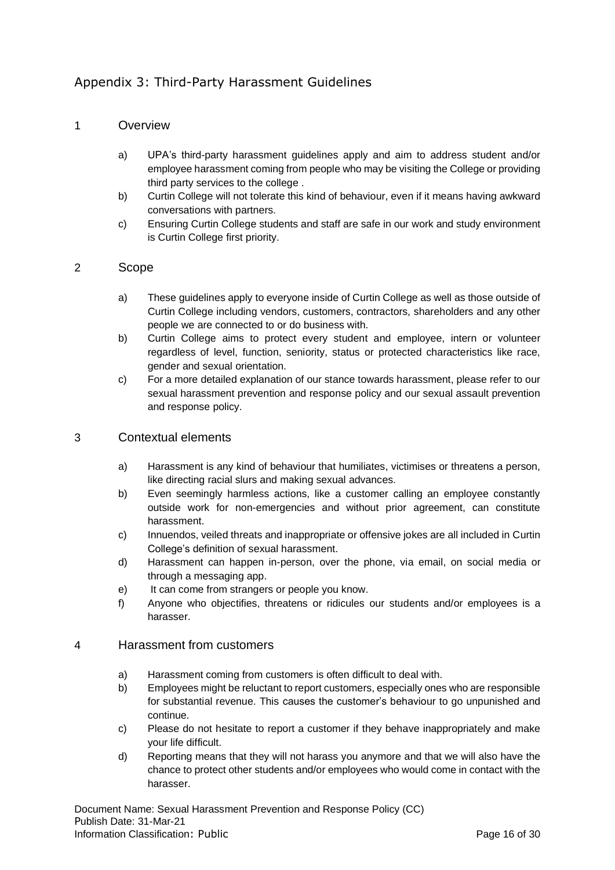## <span id="page-15-0"></span>Appendix 3: Third-Party Harassment Guidelines

## 1 Overview

- a) UPA's third-party harassment guidelines apply and aim to address student and/or employee harassment coming from people who may be visiting the College or providing third party services to the college .
- b) Curtin College will not tolerate this kind of behaviour, even if it means having awkward conversations with partners.
- c) Ensuring Curtin College students and staff are safe in our work and study environment is Curtin College first priority.

## 2 Scope

- a) These guidelines apply to everyone inside of Curtin College as well as those outside of Curtin College including vendors, customers, contractors, shareholders and any other people we are connected to or do business with.
- b) Curtin College aims to protect every student and employee, intern or volunteer regardless of level, function, seniority, status or protected characteristics like race, gender and sexual orientation.
- c) For a more detailed explanation of our stance towards harassment, please refer to our sexual harassment prevention and response policy and our sexual assault prevention and response policy.

## 3 Contextual elements

- a) Harassment is any kind of behaviour that humiliates, victimises or threatens a person, like directing racial slurs and making sexual advances.
- b) Even seemingly harmless actions, like a customer calling an employee constantly outside work for non-emergencies and without prior agreement, can constitute harassment.
- c) Innuendos, veiled threats and inappropriate or offensive jokes are all included in Curtin College's definition of sexual harassment.
- d) Harassment can happen in-person, over the phone, via email, on social media or through a messaging app.
- e) It can come from strangers or people you know.
- f) Anyone who objectifies, threatens or ridicules our students and/or employees is a harasser.

#### 4 Harassment from customers

- a) Harassment coming from customers is often difficult to deal with.
- b) Employees might be reluctant to report customers, especially ones who are responsible for substantial revenue. This causes the customer's behaviour to go unpunished and continue.
- c) Please do not hesitate to report a customer if they behave inappropriately and make your life difficult.
- d) Reporting means that they will not harass you anymore and that we will also have the chance to protect other students and/or employees who would come in contact with the harasser.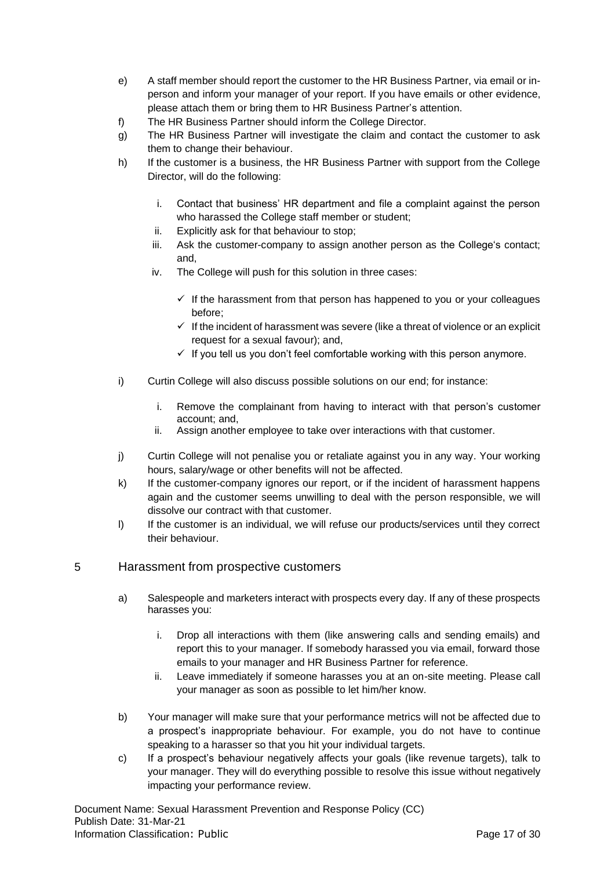- e) A staff member should report the customer to the HR Business Partner, via email or inperson and inform your manager of your report. If you have emails or other evidence, please attach them or bring them to HR Business Partner's attention.
- f) The HR Business Partner should inform the College Director.
- g) The HR Business Partner will investigate the claim and contact the customer to ask them to change their behaviour.
- h) If the customer is a business, the HR Business Partner with support from the College Director, will do the following:
	- i. Contact that business' HR department and file a complaint against the person who harassed the College staff member or student;
	- ii. Explicitly ask for that behaviour to stop;
	- iii. Ask the customer-company to assign another person as the College's contact; and,
	- iv. The College will push for this solution in three cases:
		- $\checkmark$  If the harassment from that person has happened to you or your colleagues before;
		- $\checkmark$  If the incident of harassment was severe (like a threat of violence or an explicit request for a sexual favour); and,
		- $\checkmark$  If you tell us you don't feel comfortable working with this person anymore.
- i) Curtin College will also discuss possible solutions on our end; for instance:
	- i. Remove the complainant from having to interact with that person's customer account; and,
	- ii. Assign another employee to take over interactions with that customer.
- j) Curtin College will not penalise you or retaliate against you in any way. Your working hours, salary/wage or other benefits will not be affected.
- k) If the customer-company ignores our report, or if the incident of harassment happens again and the customer seems unwilling to deal with the person responsible, we will dissolve our contract with that customer.
- I) If the customer is an individual, we will refuse our products/services until they correct their behaviour.

## 5 Harassment from prospective customers

- a) Salespeople and marketers interact with prospects every day. If any of these prospects harasses you:
	- i. Drop all interactions with them (like answering calls and sending emails) and report this to your manager. If somebody harassed you via email, forward those emails to your manager and HR Business Partner for reference.
	- ii. Leave immediately if someone harasses you at an on-site meeting. Please call your manager as soon as possible to let him/her know.
- b) Your manager will make sure that your performance metrics will not be affected due to a prospect's inappropriate behaviour. For example, you do not have to continue speaking to a harasser so that you hit your individual targets.
- c) If a prospect's behaviour negatively affects your goals (like revenue targets), talk to your manager. They will do everything possible to resolve this issue without negatively impacting your performance review.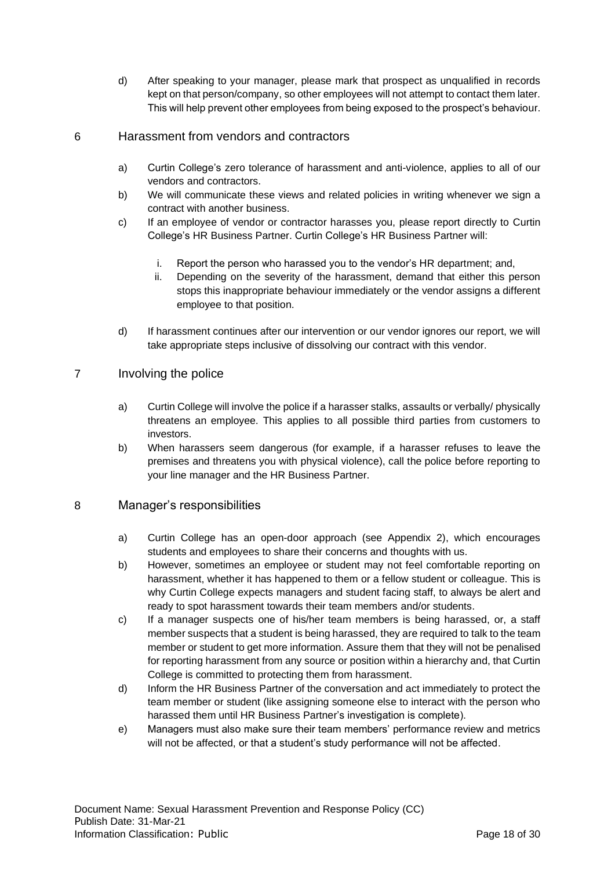d) After speaking to your manager, please mark that prospect as unqualified in records kept on that person/company, so other employees will not attempt to contact them later. This will help prevent other employees from being exposed to the prospect's behaviour.

## 6 Harassment from vendors and contractors

- a) Curtin College's zero tolerance of harassment and anti-violence, applies to all of our vendors and contractors.
- b) We will communicate these views and related policies in writing whenever we sign a contract with another business.
- c) If an employee of vendor or contractor harasses you, please report directly to Curtin College's HR Business Partner. Curtin College's HR Business Partner will:
	- i. Report the person who harassed you to the vendor's HR department; and,
	- ii. Depending on the severity of the harassment, demand that either this person stops this inappropriate behaviour immediately or the vendor assigns a different employee to that position.
- d) If harassment continues after our intervention or our vendor ignores our report, we will take appropriate steps inclusive of dissolving our contract with this vendor.

## 7 Involving the police

- a) Curtin College will involve the police if a harasser stalks, assaults or verbally/ physically threatens an employee. This applies to all possible third parties from customers to investors.
- b) When harassers seem dangerous (for example, if a harasser refuses to leave the premises and threatens you with physical violence), call the police before reporting to your line manager and the HR Business Partner.

## 8 Manager's responsibilities

- a) Curtin College has an open-door approach (see Appendix 2), which encourages students and employees to share their concerns and thoughts with us.
- b) However, sometimes an employee or student may not feel comfortable reporting on harassment, whether it has happened to them or a fellow student or colleague. This is why Curtin College expects managers and student facing staff, to always be alert and ready to spot harassment towards their team members and/or students.
- c) If a manager suspects one of his/her team members is being harassed, or, a staff member suspects that a student is being harassed, they are required to talk to the team member or student to get more information. Assure them that they will not be penalised for reporting harassment from any source or position within a hierarchy and, that Curtin College is committed to protecting them from harassment.
- d) Inform the HR Business Partner of the conversation and act immediately to protect the team member or student (like assigning someone else to interact with the person who harassed them until HR Business Partner's investigation is complete).
- e) Managers must also make sure their team members' performance review and metrics will not be affected, or that a student's study performance will not be affected.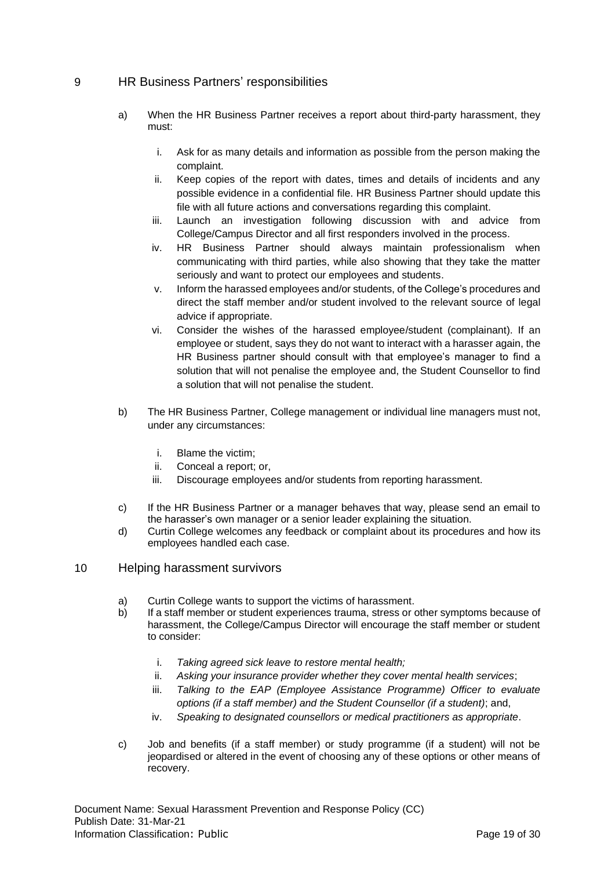## 9 HR Business Partners' responsibilities

- a) When the HR Business Partner receives a report about third-party harassment, they must:
	- i. Ask for as many details and information as possible from the person making the complaint.
	- ii. Keep copies of the report with dates, times and details of incidents and any possible evidence in a confidential file. HR Business Partner should update this file with all future actions and conversations regarding this complaint.
	- iii. Launch an investigation following discussion with and advice from College/Campus Director and all first responders involved in the process.
	- iv. HR Business Partner should always maintain professionalism when communicating with third parties, while also showing that they take the matter seriously and want to protect our employees and students.
	- v. Inform the harassed employees and/or students, of the College's procedures and direct the staff member and/or student involved to the relevant source of legal advice if appropriate.
	- vi. Consider the wishes of the harassed employee/student (complainant). If an employee or student, says they do not want to interact with a harasser again, the HR Business partner should consult with that employee's manager to find a solution that will not penalise the employee and, the Student Counsellor to find a solution that will not penalise the student.
- b) The HR Business Partner, College management or individual line managers must not, under any circumstances:
	- i. Blame the victim;
	- ii. Conceal a report; or,
	- iii. Discourage employees and/or students from reporting harassment.
- c) If the HR Business Partner or a manager behaves that way, please send an email to the harasser's own manager or a senior leader explaining the situation.
- d) Curtin College welcomes any feedback or complaint about its procedures and how its employees handled each case.
- 10 Helping harassment survivors
	- a) Curtin College wants to support the victims of harassment.
	- b) If a staff member or student experiences trauma, stress or other symptoms because of harassment, the College/Campus Director will encourage the staff member or student to consider:
		- i. *Taking agreed sick leave to restore mental health;*
		- ii. *Asking your insurance provider whether they cover mental health services*;
		- iii. *Talking to the EAP (Employee Assistance Programme) Officer to evaluate options (if a staff member) and the Student Counsellor (if a student)*; and,
		- iv. *Speaking to designated counsellors or medical practitioners as appropriate*.
	- c) Job and benefits (if a staff member) or study programme (if a student) will not be jeopardised or altered in the event of choosing any of these options or other means of recovery.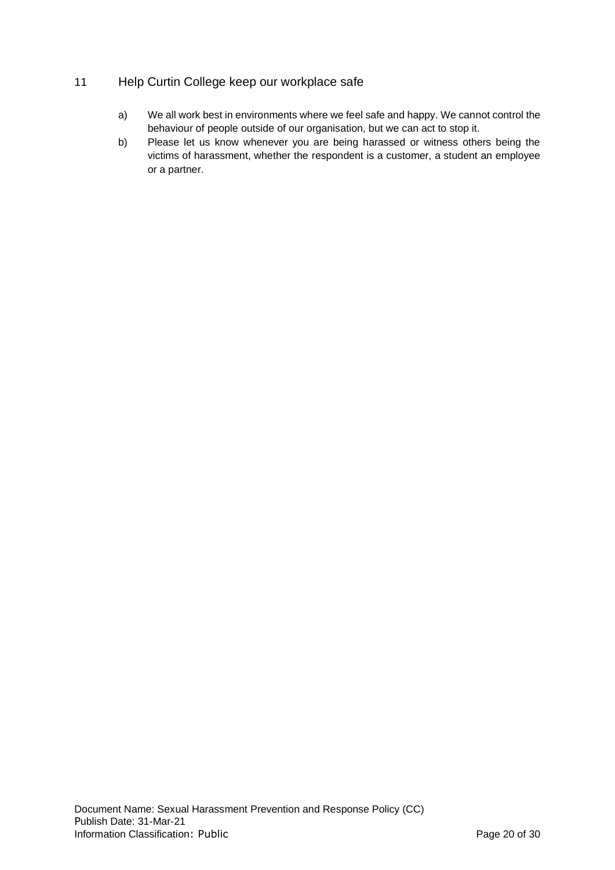## 11 Help Curtin College keep our workplace safe

- a) We all work best in environments where we feel safe and happy. We cannot control the behaviour of people outside of our organisation, but we can act to stop it.
- b) Please let us know whenever you are being harassed or witness others being the victims of harassment, whether the respondent is a customer, a student an employee or a partner.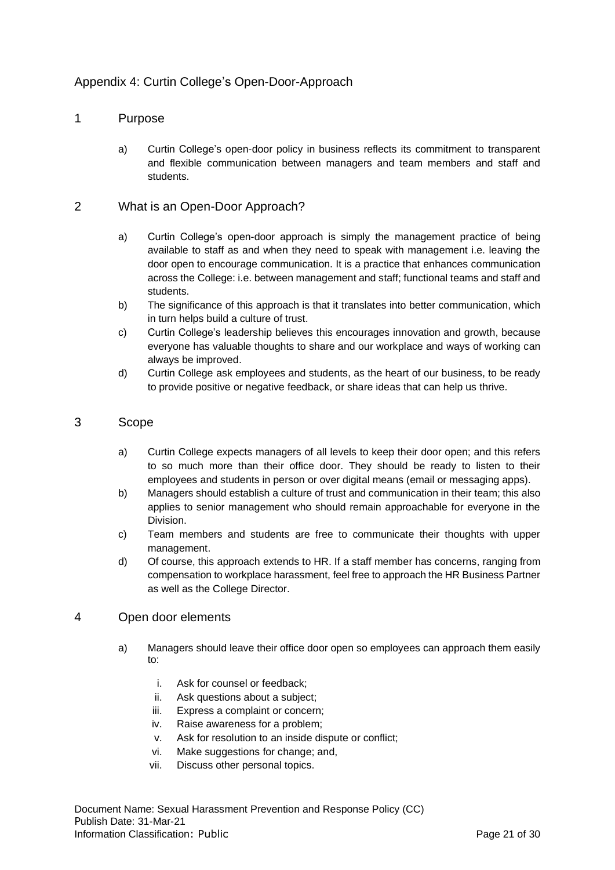## <span id="page-20-0"></span>Appendix 4: Curtin College's Open-Door-Approach

## 1 Purpose

a) Curtin College's open-door policy in business reflects its commitment to transparent and flexible communication between managers and team members and staff and students.

## 2 What is an Open-Door Approach?

- a) Curtin College's open-door approach is simply the management practice of being available to staff as and when they need to speak with management i.e. leaving the door open to encourage communication. It is a practice that enhances communication across the College: i.e. between management and staff; functional teams and staff and students.
- b) The significance of this approach is that it translates into better communication, which in turn helps build a culture of trust.
- c) Curtin College's leadership believes this encourages innovation and growth, because everyone has valuable thoughts to share and our workplace and ways of working can always be improved.
- d) Curtin College ask employees and students, as the heart of our business, to be ready to provide positive or negative feedback, or share ideas that can help us thrive.

## 3 Scope

- a) Curtin College expects managers of all levels to keep their door open; and this refers to so much more than their office door. They should be ready to listen to their employees and students in person or over digital means (email or messaging apps).
- b) Managers should establish a culture of trust and communication in their team; this also applies to senior management who should remain approachable for everyone in the Division.
- c) Team members and students are free to communicate their thoughts with upper management.
- d) Of course, this approach extends to HR. If a staff member has concerns, ranging from compensation to workplace harassment, feel free to approach the HR Business Partner as well as the College Director.

## 4 Open door elements

- a) Managers should leave their office door open so employees can approach them easily to:
	- i. Ask for counsel or feedback;
	- ii. Ask questions about a subject;
	- iii. Express a complaint or concern;
	- iv. Raise awareness for a problem;
	- v. Ask for resolution to an inside dispute or conflict;
	- vi. Make suggestions for change; and,
	- vii. Discuss other personal topics.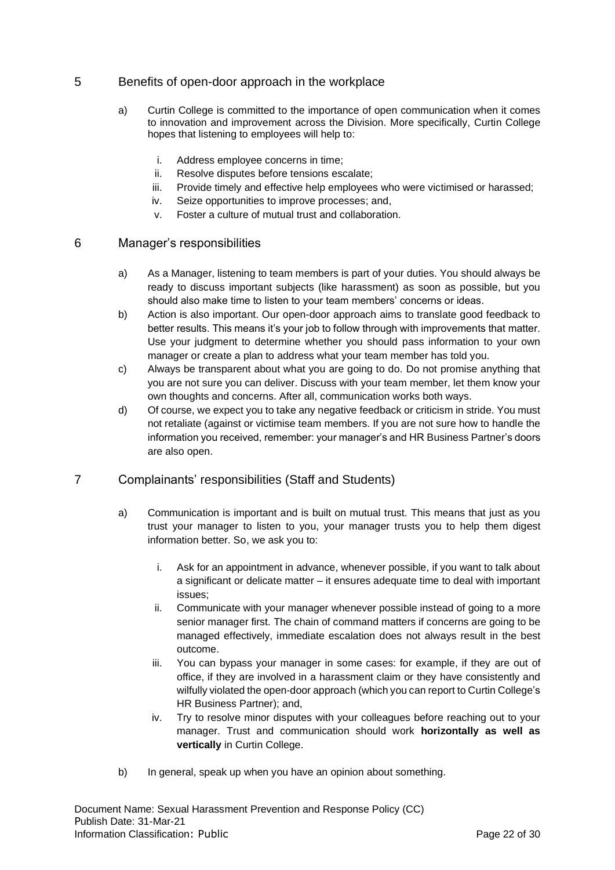## 5 Benefits of open-door approach in the workplace

- a) Curtin College is committed to the importance of open communication when it comes to innovation and improvement across the Division. More specifically, Curtin College hopes that listening to employees will help to:
	- i. Address employee concerns in time;
	- ii. Resolve disputes before tensions escalate;
	- iii. Provide timely and effective help employees who were victimised or harassed;
	- iv. Seize opportunities to improve processes; and,
	- v. Foster a culture of mutual trust and collaboration.

## 6 Manager's responsibilities

- a) As a Manager, listening to team members is part of your duties. You should always be ready to discuss important subjects (like harassment) as soon as possible, but you should also make time to listen to your team members' concerns or ideas.
- b) Action is also important. Our open-door approach aims to translate good feedback to better results. This means it's your job to follow through with improvements that matter. Use your judgment to determine whether you should pass information to your own manager or create a plan to address what your team member has told you.
- c) Always be transparent about what you are going to do. Do not promise anything that you are not sure you can deliver. Discuss with your team member, let them know your own thoughts and concerns. After all, communication works both ways.
- d) Of course, we expect you to take any negative feedback or criticism in stride. You must not retaliate (against or victimise team members. If you are not sure how to handle the information you received, remember: your manager's and HR Business Partner's doors are also open.

## 7 Complainants' responsibilities (Staff and Students)

- a) Communication is important and is built on mutual trust. This means that just as you trust your manager to listen to you, your manager trusts you to help them digest information better. So, we ask you to:
	- i. Ask for an appointment in advance, whenever possible, if you want to talk about a significant or delicate matter – it ensures adequate time to deal with important issues;
	- ii. Communicate with your manager whenever possible instead of going to a more senior manager first. The chain of command matters if concerns are going to be managed effectively, immediate escalation does not always result in the best outcome.
	- iii. You can bypass your manager in some cases: for example, if they are out of office, if they are involved in a harassment claim or they have consistently and wilfully violated the open-door approach (which you can report to Curtin College's HR Business Partner); and,
	- iv. Try to resolve minor disputes with your colleagues before reaching out to your manager. Trust and communication should work **horizontally as well as vertically** in Curtin College.
- b) In general, speak up when you have an opinion about something.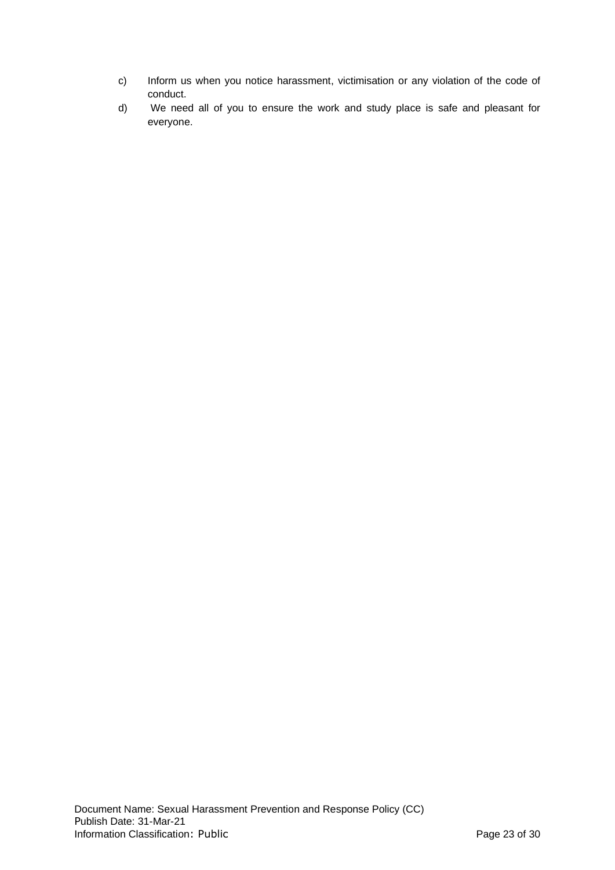- c) Inform us when you notice harassment, victimisation or any violation of the code of conduct.
- d) We need all of you to ensure the work and study place is safe and pleasant for everyone.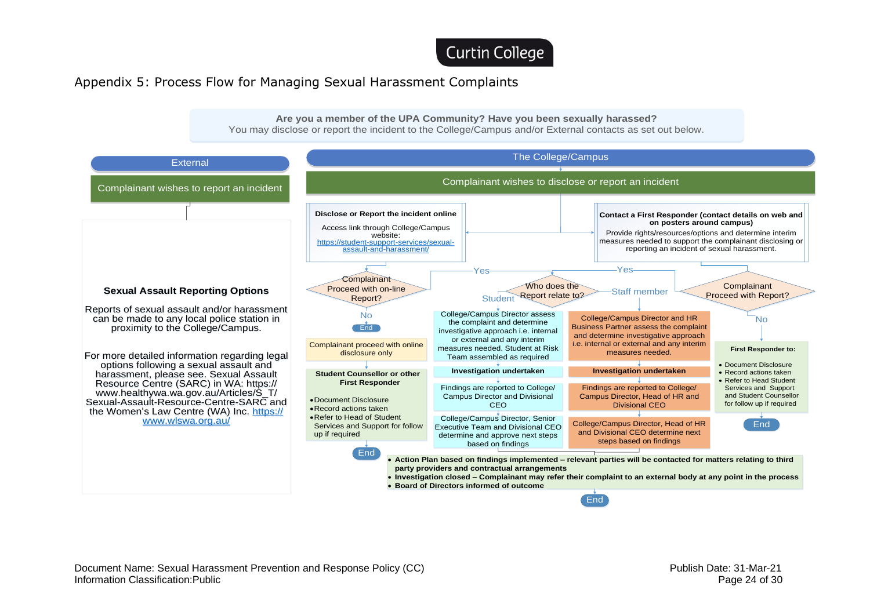Curtin College

## Appendix 5: Process Flow for Managing Sexual Harassment Complaints



**party providers and contractual arrangements**

• **Board of Directors informed of outcome**

• **Investigation closed – Complainant may refer their complaint to an external body at any point in the process**

**End** 

<span id="page-23-0"></span>Document Name: Sexual Harassment Prevention and Response Policy (CC) Document Name: 31-Mar-21 Publish Date: 31-Mar-21 Information Classification:Public **Page 24 of 30** Page 24 of 30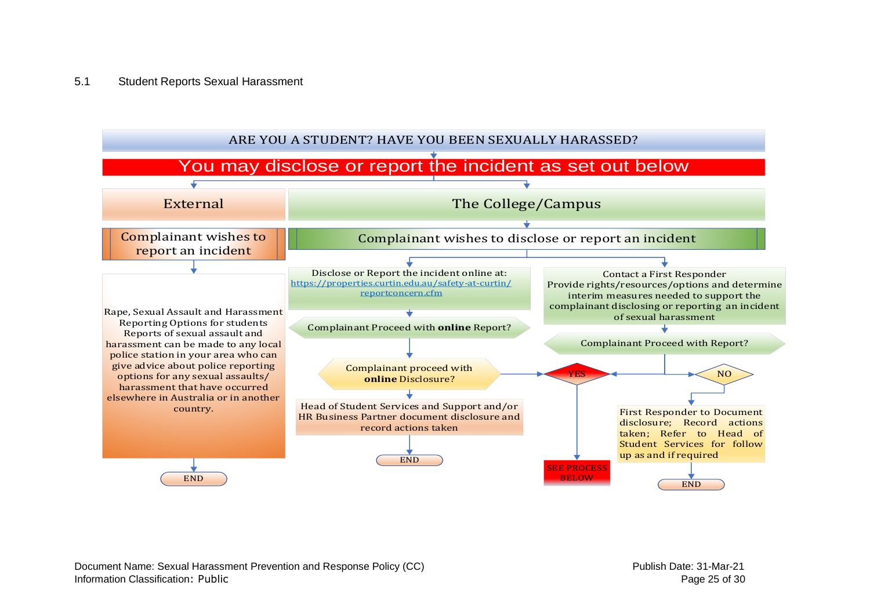#### 5.1 Student Reports Sexual Harassment



Document Name: Sexual Harassment Prevention and Response Policy (CC) Publish Date: 31-Mar-21 Information Classification: Public **Page 25 of 30** and the state of 30 and the state Page 25 of 30 and the state Page 25 of 30 and the state Page 25 of 30 and the state Page 25 of 30 and the state Page 25 of 30 and the sta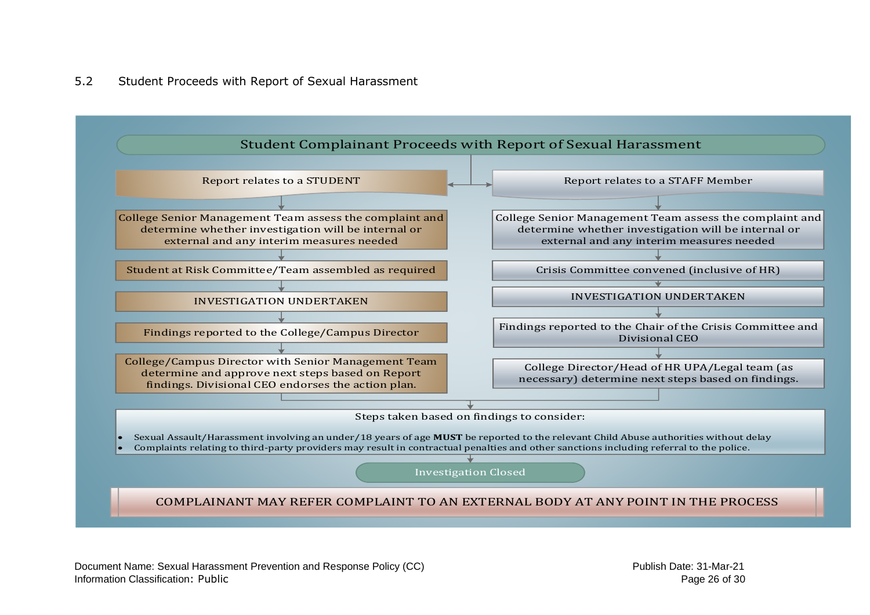## 5.2 Student Proceeds with Report of Sexual Harassment

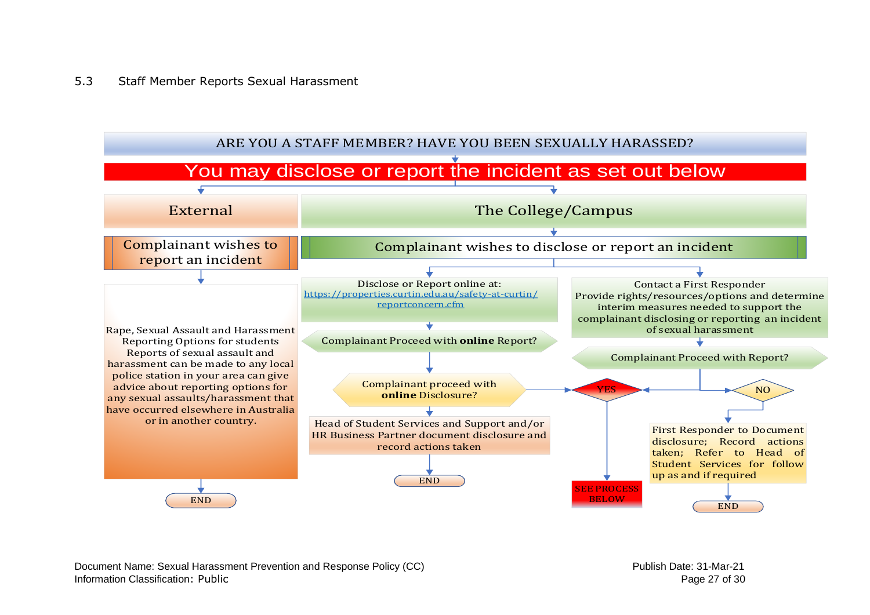## 5.3 Staff Member Reports Sexual Harassment



Document Name: Sexual Harassment Prevention and Response Policy (CC) example and the example of the Publish Date: 31-Mar-21 Information Classification: Public **Page 27 of 30** and the state of 30 and the state Page 27 of 30 and the Page 27 of 30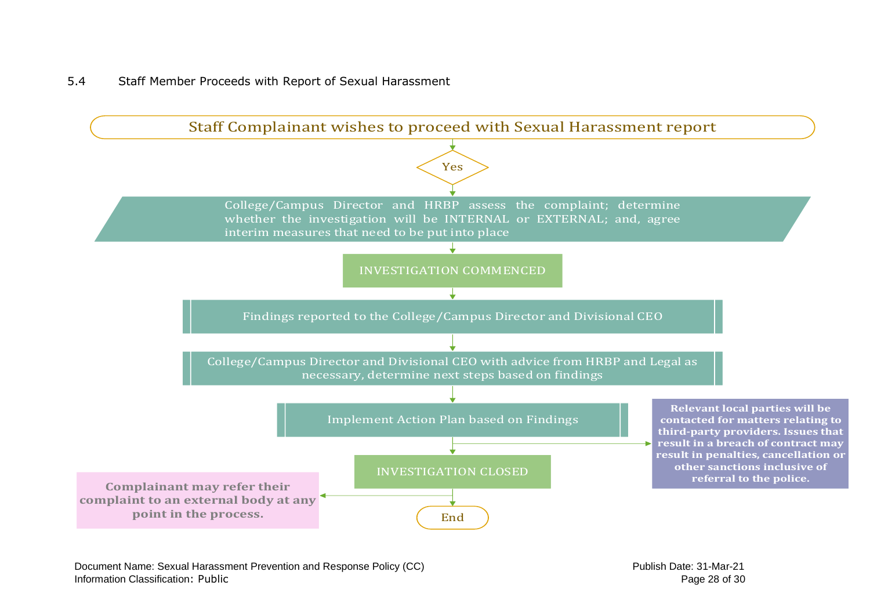## 5.4 Staff Member Proceeds with Report of Sexual Harassment

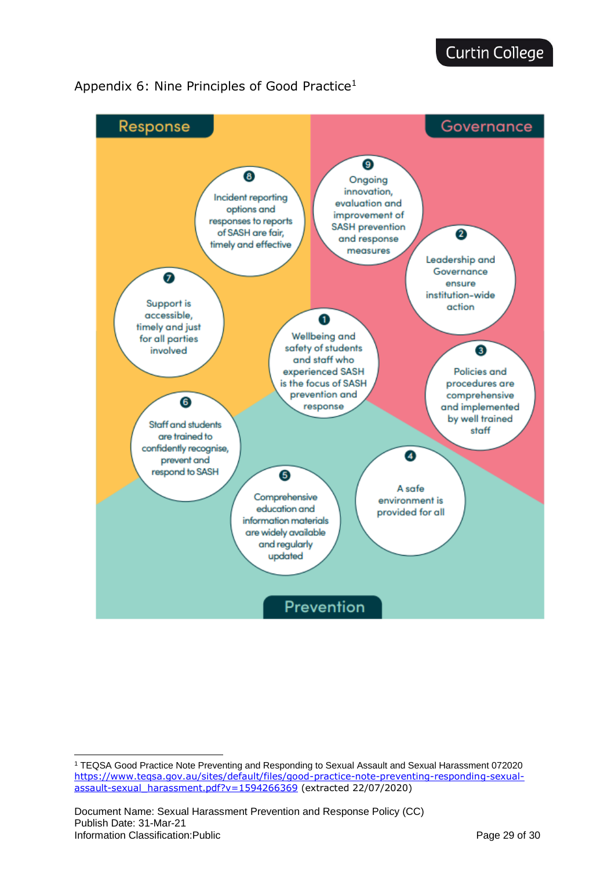

## <span id="page-28-0"></span>Appendix 6: Nine Principles of Good Practice<sup>1</sup>

<sup>1</sup> TEQSA Good Practice Note Preventing and Responding to Sexual Assault and Sexual Harassment 072020 [https://www.teqsa.gov.au/sites/default/files/good-practice-note-preventing-responding-sexual](https://www.teqsa.gov.au/sites/default/files/good-practice-note-preventing-responding-sexual-assault-sexual_harassment.pdf?v=1594266369)[assault-sexual\\_harassment.pdf?v=1594266369](https://www.teqsa.gov.au/sites/default/files/good-practice-note-preventing-responding-sexual-assault-sexual_harassment.pdf?v=1594266369) (extracted 22/07/2020)